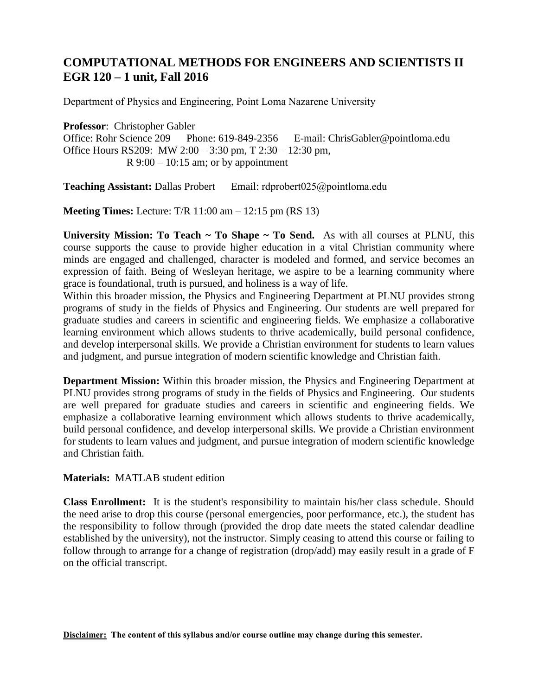## **COMPUTATIONAL METHODS FOR ENGINEERS AND SCIENTISTS II EGR 120 – 1 unit, Fall 2016**

Department of Physics and Engineering, Point Loma Nazarene University

**Professor**: Christopher Gabler Office: Rohr Science 209 Phone: 619-849-2356 E-mail: ChrisGabler@pointloma.edu Office Hours RS209: MW 2:00 – 3:30 pm, T 2:30 – 12:30 pm, R  $9:00 - 10:15$  am; or by appointment

**Teaching Assistant:** Dallas Probert Email: rdprobert025@pointloma.edu

**Meeting Times:** Lecture: T/R 11:00 am – 12:15 pm (RS 13)

**University Mission: To Teach ~ To Shape ~ To Send.** As with all courses at PLNU, this course supports the cause to provide higher education in a vital Christian community where minds are engaged and challenged, character is modeled and formed, and service becomes an expression of faith. Being of Wesleyan heritage, we aspire to be a learning community where grace is foundational, truth is pursued, and holiness is a way of life.

Within this broader mission, the Physics and Engineering Department at PLNU provides strong programs of study in the fields of Physics and Engineering. Our students are well prepared for graduate studies and careers in scientific and engineering fields. We emphasize a collaborative learning environment which allows students to thrive academically, build personal confidence, and develop interpersonal skills. We provide a Christian environment for students to learn values and judgment, and pursue integration of modern scientific knowledge and Christian faith.

**Department Mission:** Within this broader mission, the Physics and Engineering Department at PLNU provides strong programs of study in the fields of Physics and Engineering. Our students are well prepared for graduate studies and careers in scientific and engineering fields. We emphasize a collaborative learning environment which allows students to thrive academically, build personal confidence, and develop interpersonal skills. We provide a Christian environment for students to learn values and judgment, and pursue integration of modern scientific knowledge and Christian faith.

**Materials:** MATLAB student edition

**Class Enrollment:** It is the student's responsibility to maintain his/her class schedule. Should the need arise to drop this course (personal emergencies, poor performance, etc.), the student has the responsibility to follow through (provided the drop date meets the stated calendar deadline established by the university), not the instructor. Simply ceasing to attend this course or failing to follow through to arrange for a change of registration (drop/add) may easily result in a grade of F on the official transcript.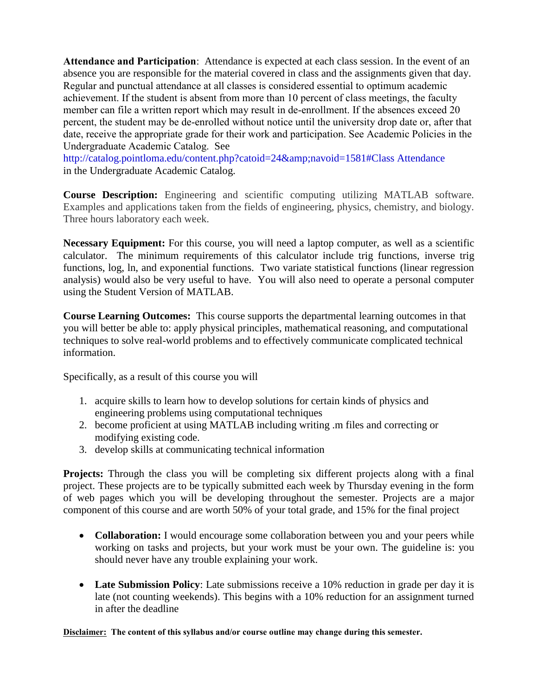**Attendance and Participation**: Attendance is expected at each class session. In the event of an absence you are responsible for the material covered in class and the assignments given that day. Regular and punctual attendance at all classes is considered essential to optimum academic achievement. If the student is absent from more than 10 percent of class meetings, the faculty member can file a written report which may result in de-enrollment. If the absences exceed 20 percent, the student may be de-enrolled without notice until the university drop date or, after that date, receive the appropriate grade for their work and participation. See Academic Policies in the Undergraduate Academic Catalog. See

http://catalog.pointloma.edu/content.php?catoid=24&navoid=1581#Class Attendance in the Undergraduate Academic Catalog.

**Course Description:** Engineering and scientific computing utilizing MATLAB software. Examples and applications taken from the fields of engineering, physics, chemistry, and biology. Three hours laboratory each week.

**Necessary Equipment:** For this course, you will need a laptop computer, as well as a scientific calculator. The minimum requirements of this calculator include trig functions, inverse trig functions, log, ln, and exponential functions. Two variate statistical functions (linear regression analysis) would also be very useful to have. You will also need to operate a personal computer using the Student Version of MATLAB.

**Course Learning Outcomes:** This course supports the departmental learning outcomes in that you will better be able to: apply physical principles, mathematical reasoning, and computational techniques to solve real-world problems and to effectively communicate complicated technical information.

Specifically, as a result of this course you will

- 1. acquire skills to learn how to develop solutions for certain kinds of physics and engineering problems using computational techniques
- 2. become proficient at using MATLAB including writing .m files and correcting or modifying existing code.
- 3. develop skills at communicating technical information

**Projects:** Through the class you will be completing six different projects along with a final project. These projects are to be typically submitted each week by Thursday evening in the form of web pages which you will be developing throughout the semester. Projects are a major component of this course and are worth 50% of your total grade, and 15% for the final project

- **Collaboration:** I would encourage some collaboration between you and your peers while working on tasks and projects, but your work must be your own. The guideline is: you should never have any trouble explaining your work.
- **Late Submission Policy**: Late submissions receive a 10% reduction in grade per day it is late (not counting weekends). This begins with a 10% reduction for an assignment turned in after the deadline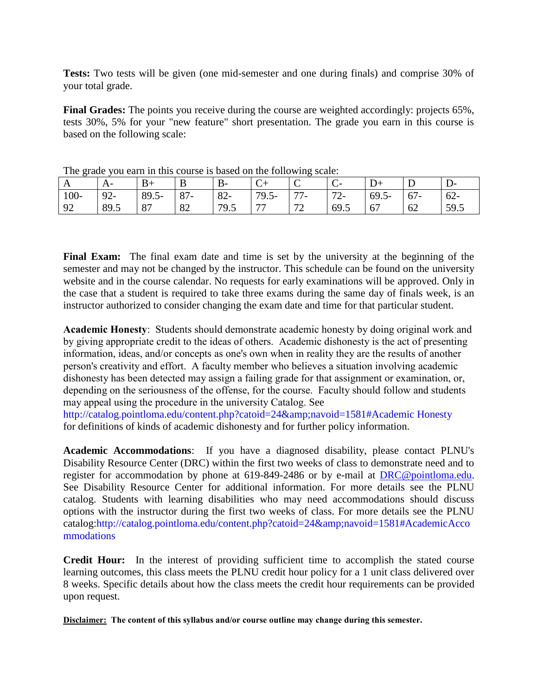**Tests:** Two tests will be given (one mid-semester and one during finals) and comprise 30% of your total grade.

**Final Grades:** The points you receive during the course are weighted accordingly: projects 65%, tests 30%, 5% for your "new feature" short presentation. The grade you earn in this course is based on the following scale:

| -----<br>-----<br>-------- |        |          |        |      |           |    |       |                |       |            |
|----------------------------|--------|----------|--------|------|-----------|----|-------|----------------|-------|------------|
| A                          | A-     |          | B      | В-   | $C_{\pm}$ | ◡  | ◡     | $\mathbf{D}^+$ |       | $\bm{\nu}$ |
| $100 -$                    | $92 -$ | $89.5 -$ | $87 -$ | 82-  | $79.5 -$  | 77 | $72-$ | $69.5 -$       | $67-$ | $62 -$     |
| 92                         | 89.5   | 87       | 82     | 79.5 | 77        | 72 | 69.5  | 67             | 62    | 59.5       |

The grade you earn in this course is based on the following scale:

**Final Exam:** The final exam date and time is set by the university at the beginning of the semester and may not be changed by the instructor. This schedule can be found on the university website and in the course calendar. No requests for early examinations will be approved. Only in the case that a student is required to take three exams during the same day of finals week, is an instructor authorized to consider changing the exam date and time for that particular student.

**Academic Honesty**: Students should demonstrate academic honesty by doing original work and by giving appropriate credit to the ideas of others. Academic dishonesty is the act of presenting information, ideas, and/or concepts as one's own when in reality they are the results of another person's creativity and effort. A faculty member who believes a situation involving academic dishonesty has been detected may assign a failing grade for that assignment or examination, or, depending on the seriousness of the offense, for the course. Faculty should follow and students may appeal using the procedure in the university Catalog. See

http://catalog.pointloma.edu/content.php?catoid=24&navoid=1581#Academic Honesty for definitions of kinds of academic dishonesty and for further policy information.

**Academic Accommodations**: If you have a diagnosed disability, please contact PLNU's Disability Resource Center (DRC) within the first two weeks of class to demonstrate need and to register for accommodation by phone at 619-849-2486 or by e-mail at [DRC@pointloma.edu.](mailto:DRC@pointloma.edu) See Disability Resource Center for additional information. For more details see the PLNU catalog. Students with learning disabilities who may need accommodations should discuss options with the instructor during the first two weeks of class. For more details see the PLNU catalog:http://catalog.pointloma.edu/content.php?catoid=24&navoid=1581#AcademicAcco mmodations

**Credit Hour:** In the interest of providing sufficient time to accomplish the stated course learning outcomes, this class meets the PLNU credit hour policy for a 1 unit class delivered over 8 weeks. Specific details about how the class meets the credit hour requirements can be provided upon request.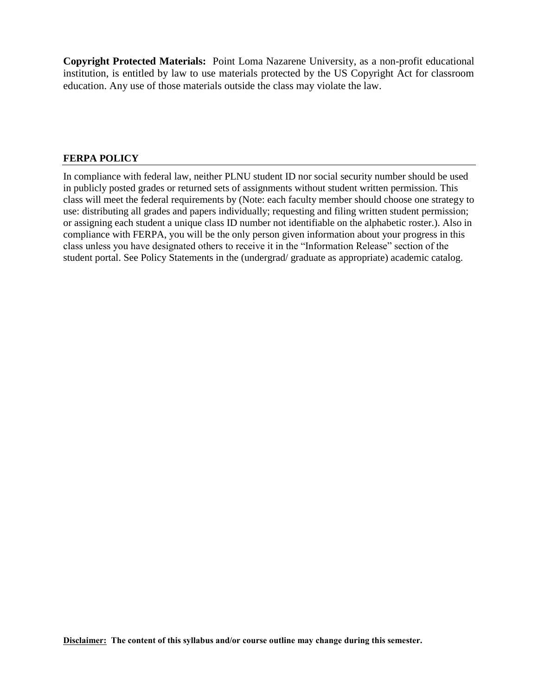**Copyright Protected Materials:** Point Loma Nazarene University, as a non-profit educational institution, is entitled by law to use materials protected by the US Copyright Act for classroom education. Any use of those materials outside the class may violate the law.

## **FERPA POLICY**

In compliance with federal law, neither PLNU student ID nor social security number should be used in publicly posted grades or returned sets of assignments without student written permission. This class will meet the federal requirements by (Note: each faculty member should choose one strategy to use: distributing all grades and papers individually; requesting and filing written student permission; or assigning each student a unique class ID number not identifiable on the alphabetic roster.). Also in compliance with FERPA, you will be the only person given information about your progress in this class unless you have designated others to receive it in the "Information Release" section of the student portal. See Policy Statements in the (undergrad/ graduate as appropriate) academic catalog.